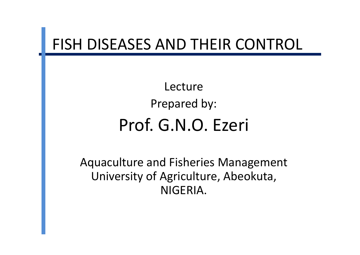### FISH DISEASES AND THEIR CONTROL

LecturePrepared by:Prof. G.N.O. Ezeri

Aquaculture and Fisheries ManagementUniversity of Agriculture, Abeokuta, NIGERIA.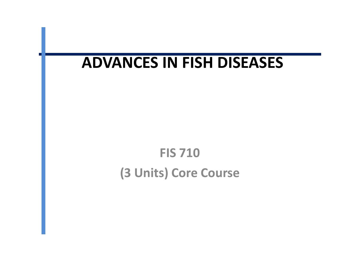### **ADVANCES IN FISH DISEASES**

### **FIS <sup>710</sup>(3 Units) Core Course**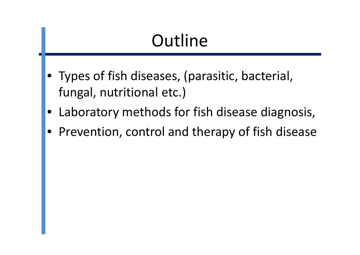# **Outline**

- Types of fish diseases, (parasitic, bacterial, fungal, nutritional etc.)
- •Laboratory methods for fish disease diagnosis,
- •Prevention, control and therapy of fish disease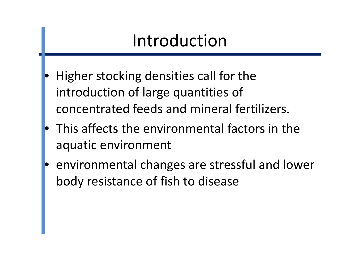# Introduction

- $\bullet$  Higher stocking densities call for the introduction of large quantities of concentrated feeds and mineral fertilizers.
- $\bullet$  This affects the environmental factors in the aquatic environment
- $\bullet$  environmental changes are stressful and lower body resistance of fish to disease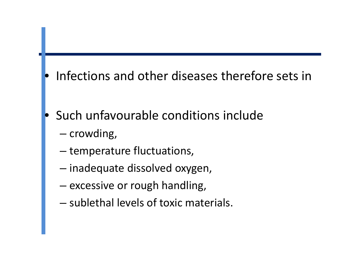### $\bullet$ Infections and other diseases therefore sets in

- Such unfavourable conditions include
	- –– crowding,

 $\bullet$ 

- and the state of the state  $-$  temperature fluctuations,
- –inadequate dissolved oxygen,
- and the state of the state - excessive or rough handling,
- – $-$  sublethal levels of toxic materials.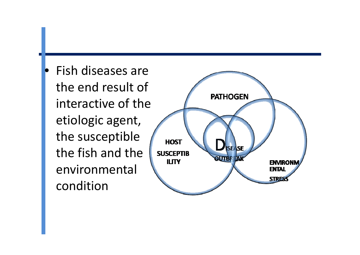$\bullet$  Fish diseases are the end result of interactive of the etiologic agent, the susceptible the fish and the environmental condition

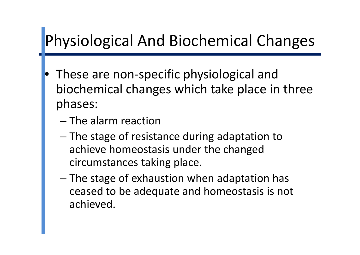# Physiological And Biochemical Changes

- $\bullet$  These are non-specific physiological and biochemical changes which take place in three phases:
	- – $-$  The alarm reaction
	- and the state of the state - The stage of resistance during adaptation to achieve homeostasis under the changed circumstances taking place.
	- and the state of the state - The stage of exhaustion when adaptation has ceased to be adequate and homeostasis is not achieved.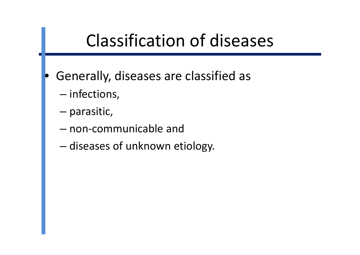# Classification of diseases

- $\bullet$  Generally, diseases are classified as
	- –— infections,
	- and the state of the state — parasitic,
	- non -communicable and
	- and the state of the state  $-$  diseases of unknown etiology.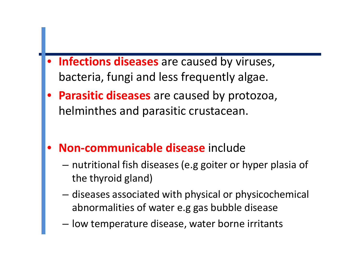- • **Infections diseases** are caused by viruses, bacteria, fungi and less frequently algae.
- $\bullet$  **Parasitic diseases** are caused by protozoa, helminthes and parasitic crustacean.
- $\bullet$  **Non-communicable disease** include
	- – nutritional fish diseases (e.g goiter or hyper plasia of the thyroid gland)
	- – diseases associated with physical or physicochemical abnormalities of water e.g gas bubble disease
	- low temperature disease, water borne irritants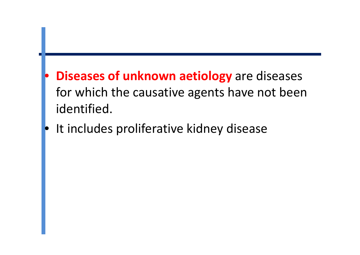- $\bullet$ **Diseases of unknown aetiology** are diseases for which the causative agents have not been identified.
- •It includes proliferative kidney disease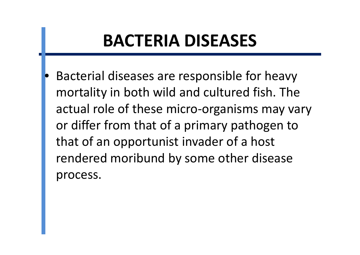# **BACTERIA DISEASES**

 $\bullet$  Bacterial diseases are responsible for heavy mortality in both wild and cultured fish. The actual role of these micro-organisms may vary or differ from that of a primary pathogen to that of an opportunist invader of a host rendered moribund by some other disease process.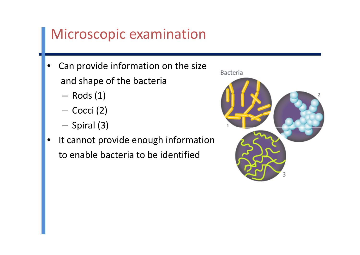### Microscopic examination

- • Can provide information on the sizeand shape of the bacteria
	- **Links of the Company** — Rods (1)
	- **Links of the Company** — Cocci (2)
	- and the state of the — Spiral (3)
- • It cannot provide enough information to enable bacteria to be identified

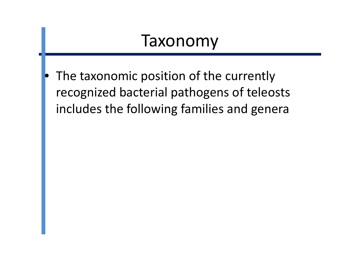### Taxonomy

 $\bullet$  The taxonomic position of the currently recognized bacterial pathogens of teleosts includes the following families and genera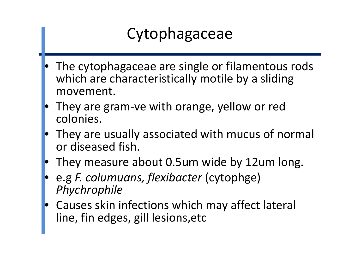# Cytophagaceae

- • The cytophagaceae are single or filamentous rods which are characteristically motile by a sliding movement.
- $\bullet$  They are gram-ve with orange, yellow or red colonies.
- $\bullet$  They are usually associated with mucus of normal or diseased fish.
- •• They measure about 0.5um wide by 12um long.
- • e.g *F. columuans, flexibacter* (cytophge) *Phychrophile*
- Causes skin infections which may affect lateral •line, fin edges, gill lesions,etc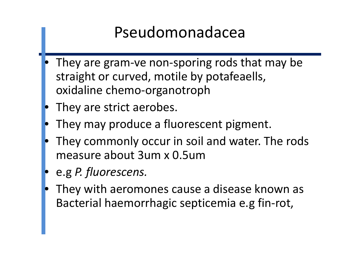### Pseudomonadacea

- $\bullet$  They are gram-ve non-sporing rods that may be straight or curved, motile by potafeaells, oxidaline chemo-organotroph
- •They are strict aerobes.
- $\bullet$ They may produce a fluorescent pigment.
- • They commonly occur in soil and water. The rods measure about 3um x 0.5um
- •e.g *P. fluorescens.*
- • They with aeromones cause a disease known as Bacterial haemorrhagic septicemia e.g fin-rot,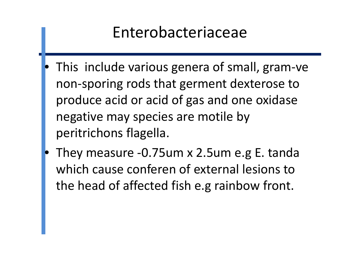### Enterobacteriaceae

- $\bullet$  This include various genera of small, gram-ve non-sporing rods that germent dexterose to produce acid or acid of gas and one oxidase negative may species are motile by peritrichons flagella.
- $\bullet$  They measure -0.75um x 2.5um e.g E. tanda which cause conferen of external lesions to the head of affected fish e.g rainbow front.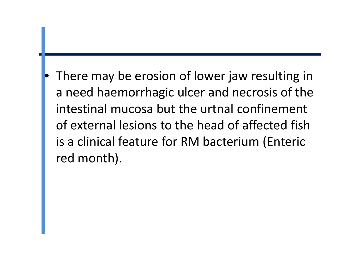$\bullet$  There may be erosion of lower jaw resulting in a need haemorrhagic ulcer and necrosis of the intestinal mucosa but the urtnal confinement of external lesions to the head of affected fish is a clinical feature for RM bacterium (Enteric red month).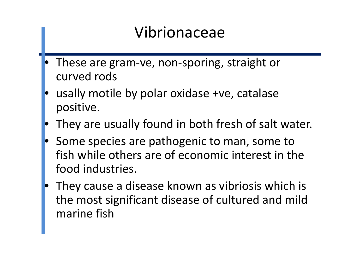### Vibrionaceae

- $\bullet$  These are gram-ve, non-sporing, straight or curved rods
- $\bullet$  usally motile by polar oxidase +ve, catalase positive.
- $\bullet$ They are usually found in both fresh of salt water.
- • Some species are pathogenic to man, some to fish while others are of economic interest in the food industries.
- $\bullet$  They cause a disease known as vibriosis which is the most significant disease of cultured and mild marine fish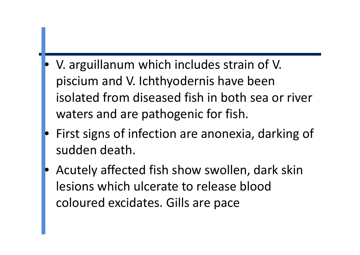V. arguillanum which includes strain of V. piscium and V. Ichthyodernis have been isolated from diseased fish in both sea or river waters and are pathogenic for fish.

 $\bullet$ 

- • First signs of infection are anonexia, darking of sudden death.
- $\bullet$  Acutely affected fish show swollen, dark skin lesions which ulcerate to release blood coloured excidates. Gills are pace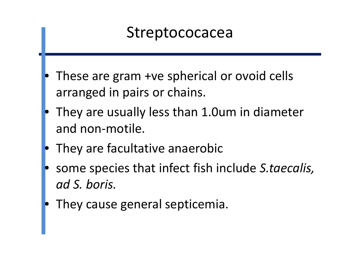### **Streptococacea**

- $\bullet$  These are gram +ve spherical or ovoid cells arranged in pairs or chains.
- $\bullet$  They are usually less than 1.0um in diameter and non-motile.
- $\bullet$ They are facultative anaerobic
- $\bullet$  some species that infect fish include *S.taecalis, ad S. boris.*
- $\bullet$ They cause general septicemia.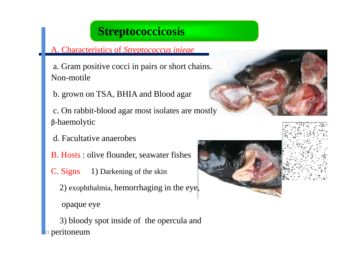### **Streptococcicosis**

A. Characteristics of *Streptococcus inieae*

a. Gram positive cocci in pairs or short chains. Non-motile

b. grown on TSA, BHIA and Blood agar

c. On rabbit-blood agar most isolates are mostly β-haemolytic

- d. Facultative anaerobes
- B. Hosts : olive flounder, seawater fishes
- C. Signs: 1) Darkening of the skin
	- 2) exophthalmia, hemorrhaging in the eye,

opaque eye

**21 peritoneum** 3) bloody spot inside of the opercula and





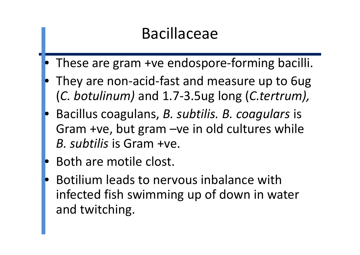### Bacillaceae

- $\bullet$ These are gram +ve endospore-forming bacilli.
- $\bullet$  They are non-acid-fast and measure up to 6ug(*C. botulinum)* and 1.7-3.5ug long (*C.tertrum),*
- $\bullet$  Bacillus coagulans, *B. subtilis. B. coagulars* is Gram +ve, but gram -ve in old cultures while *B. subtilis* is Gram +ve.
- $\bullet$ Both are motile clost.
- $\bullet$ • Botilium leads to nervous inbalance with<br>
infoctod fich swimming un of down in wat infected fish swimming up of down in water and twitching.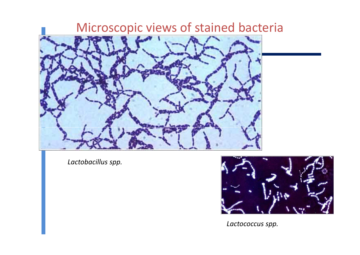### Microscopic views of stained bacteria



*Lactobacillus spp.*



*Lactococcus spp.*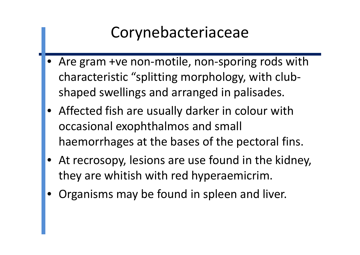### Corynebacteriaceae

- • Are gram +ve non-motile, non-sporing rods with characteristic "splitting morphology, with clubshaped swellings and arranged in palisades.
- Affected fish are usually darker in colour with occasional exophthalmos and small haemorrhages at the bases of the pectoral fins.
- • At recrosopy, lesions are use found in the kidney, they are whitish with red hyperaemicrim.
- •Organisms may be found in spleen and liver.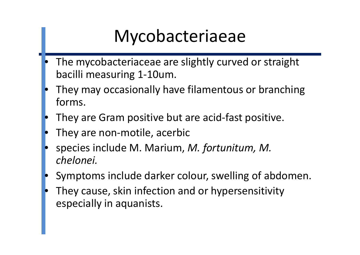# Mycobacteriaeae

- • The mycobacteriaceae are slightly curved or straight bacilli measuring 1-10um.
- • They may occasionally have filamentous or branching forms.
- •They are Gram positive but are acid-fast positive.
- •**•** They are non-motile, acerbic
- • species include M. Marium, *M. fortunitum, M. chelonei.*
- •Symptoms include darker colour, swelling of abdomen.
- • They cause, skin infection and or hypersensitivity especially in aquanists.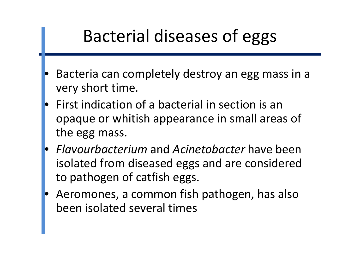

• Aeromones, a common fish pathogen, has also been isolated several times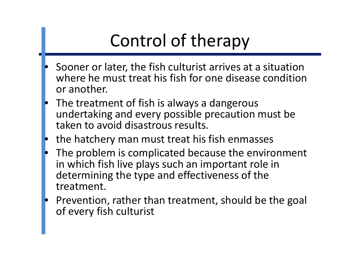# Control of therapy

- • Sooner or later, the fish culturist arrives at a situation where he must treat his fish for one disease condition or another.
- • The treatment of fish is always a dangerous undertaking and every possible precaution must be taken to avoid disastrous results.
- •the hatchery man must treat his fish enmasses
- • The problem is complicated because the environment in which fish live plays such an important role in determining the type and effectiveness of the treatment.
- • Prevention, rather than treatment, should be the goal of every fish culturist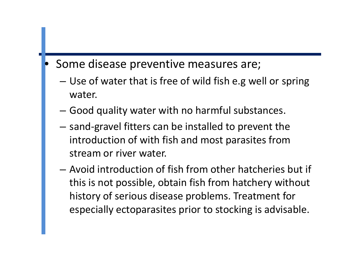#### •Some disease preventive measures are;

- – Use of water that is free of wild fish e.g well or spring water.
- – $-$  Good quality water with no harmful substances.
- sand-gravel fitters can be installed to prevent the introduction of with fish and most parasites from stream or river water.
- – Avoid introduction of fish from other hatcheries but if this is not possible, obtain fish from hatchery without history of serious disease problems. Treatment for especially ectoparasites prior to stocking is advisable.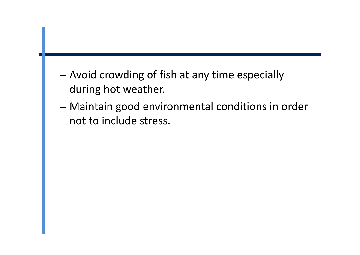- and the state of the state Avoid crowding of fish at any time especially during hot weather.
- – Maintain good environmental conditions in order not to include stress.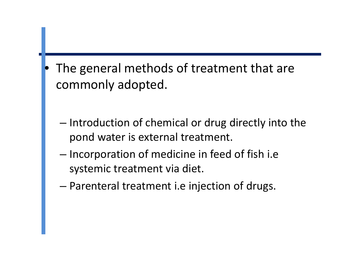- $\bullet$  The general methods of treatment that are commonly adopted.
	- and the state of the state - Introduction of chemical or drug directly into the pond water is external treatment.
	- and the state of the state - Incorporation of medicine in feed of fish i.e systemic treatment via diet.
	- and the state of the state Parenteral treatment i.e injection of drugs.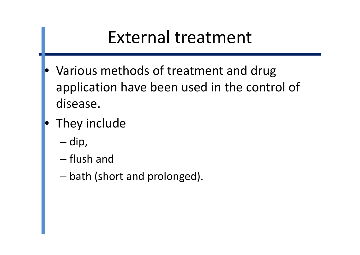## External treatment

- $\bullet$  Various methods of treatment and drug application have been used in the control of disease.
- $\bullet$  They include
	- and the state of the state — dip,
	- and the state of the state  $-$  flush and
	- –bath (short and prolonged).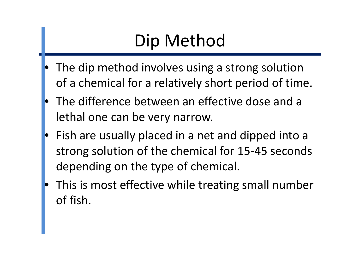# Dip Method

- $\bullet$  The dip method involves using a strong solution of a chemical for a relatively short period of time.
- $\bullet$  The difference between an effective dose and a lethal one can be very narrow.
- • Fish are usually placed in a net and dipped into a strong solution of the chemical for 15-45 seconds depending on the type of chemical.
- • This is most effective while treating small number of fish.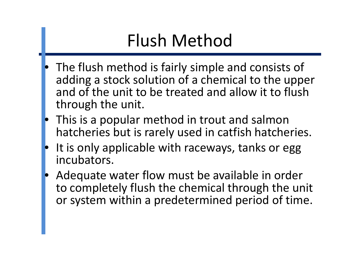# Flush Method

- • The flush method is fairly simple and consists of adding a stock solution of a chemical to the upper and of the unit to be treated and allow it to flushthrough the unit.
- This is a popular method in trout and salmon hatcheries but is rarely used in catfish hatcheries.
- $\bullet$ It is only applicable with raceways, tanks or egg incubators.
- $\bullet$  Adequate water flow must be available in order to completely flush the chemical through the unit or system within a predetermined period of time.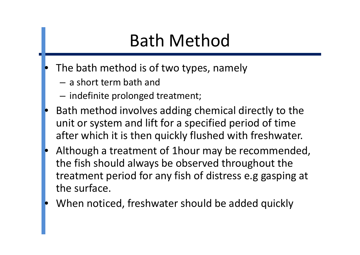# Bath Method

- • The bath method is of two types, namely
	- **Links of the Company**  $-$  a short term bath and
	- – $-$  indefinite prolonged treatment;
- • Bath method involves adding chemical directly to theunit or system and lift for a specified period of time after which it is then quickly flushed with freshwater.
- • Although a treatment of 1hour may be recommended, the fish should always be observed throughout the treatment period for any fish of distress e.g gasping at the surface.
- •When noticed, freshwater should be added quickly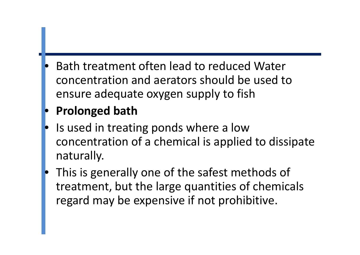• Bath treatment often lead to reduced Water concentration and aerators should be used to ensure adequate oxygen supply to fish

### $\bullet$ **Prolonged bath**

- • Is used in treating ponds where a low concentration of a chemical is applied to dissipatenaturally.
- $\bullet$  This is generally one of the safest methods of treatment, but the large quantities of chemicals regard may be expensive if not prohibitive.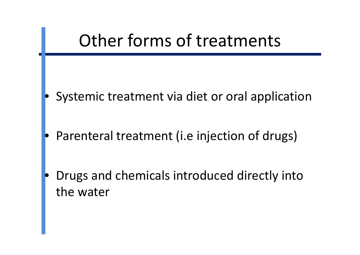

- $\bullet$ Systemic treatment via diet or oral application
- $\bullet$ Parenteral treatment (i.e injection of drugs)

 $\bullet$  Drugs and chemicals introduced directly into the water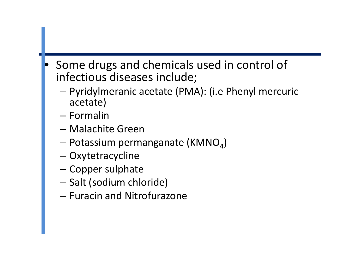- • Some drugs and chemicals used in control of infectious diseases include;
	- Pyridylmeranic acetate (PMA): (i.e Phenyl mercuric acetate)
	- Formalin
	- –Malachite Green
	- – $-$  Potassium permanganate (KMNO<sub>4</sub>)
	- Oxytetracycline
	- –- Copper sulphate
	- –— Salt (sodium chloride)
	- $-$  Furacin and Nitrofurazone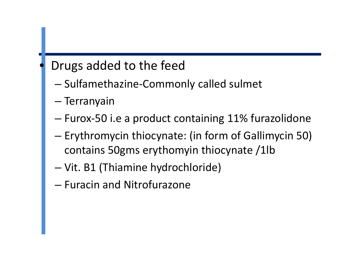### •Drugs added to the feed

- – $-$  Sulfamethazine-Commonly called sulmet
- and the state of the state — Terranyain
- – $-$  Furox-50 i.e a product containing 11% furazolidone
- and the state of the state  $-$  Erythromycin thiocynate: (in form of Gallimycin 50) contains 50gms erythomyin thiocynate /1lb
- and the state of the state Vit. B1 (Thiamine hydrochloride)
- and the state of the state  $-$  Furacin and Nitrofurazone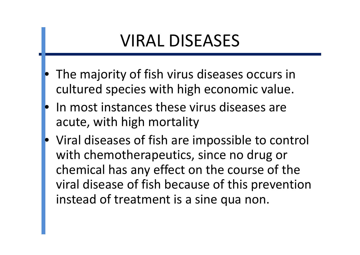# VIRAL DISEASES

- • The majority of fish virus diseases occurs in cultured species with high economic value.
- $\bullet$  In most instances these virus diseases are acute, with high mortality
- $\bullet$  Viral diseases of fish are impossible to control with chemotherapeutics, since no drug or chemical has any effect on the course of the viral disease of fish because of this prevention instead of treatment is a sine qua non.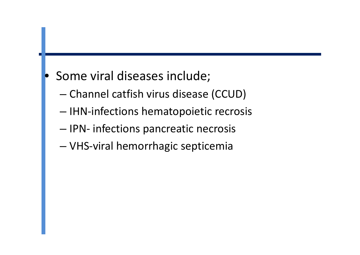### $\bullet$ Some viral diseases include;

- –— Channel catfish virus disease (CCUD)
- and the state of the state  $-$  IHN-infections hematopoietic recrosis
- –— IPN- infections pancreatic necrosis
- and the state of the state VHS-viral hemorrhagic septicemia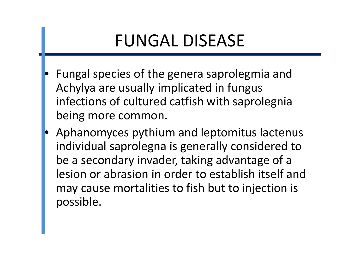# FUNGAL DISEASE

- • Fungal species of the genera saprolegmia and Achylya are usually implicated in fungus infections of cultured catfish with saprolegniabeing more common.
- $\bullet$ • Aphanomyces pythium and leptomitus lactenus<br>• individual cantelegna is generally considered to individual saprolegna is generally considered to be a secondary invader, taking advantage of a lesion or abrasion in order to establish itself andmay cause mortalities to fish but to injection is possible.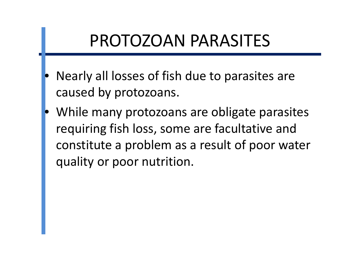## PROTOZOAN PARASITES

- $\bullet$  Nearly all losses of fish due to parasites are caused by protozoans.
- $\bullet$  While many protozoans are obligate parasites requiring fish loss, some are facultative and constitute a problem as a result of poor water quality or poor nutrition.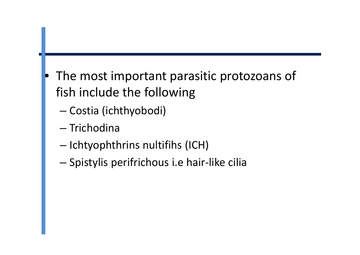- $\bullet$  The most important parasitic protozoans of fish include the following
	- and the state of the state — Costia (ichthyobodi)
	- –— Trichodina
	- and the state of the state  $-$  Ichtyophthrins nultifihs (ICH)
	- –— Spistylis perifrichous i.e hair-like cilia